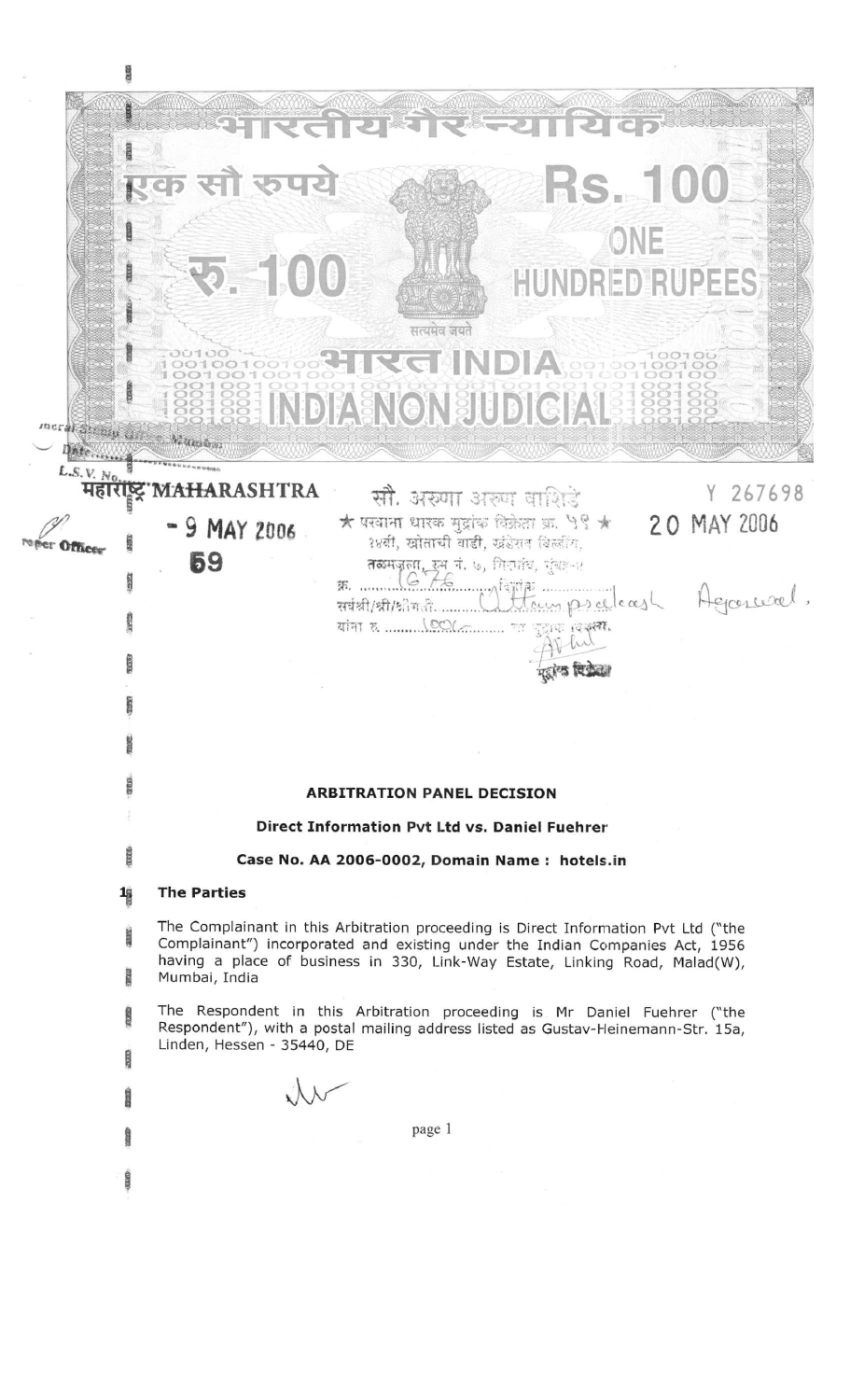| meral Straig College, Manshes<br><b>DECORPHENCE CONTRACTORISTIC NEWSIGE</b> | भारतीय मेर न्यायिक<br>एक सौ रुपये<br><b>Rs. 100</b><br>ONE<br><b>Ro. 100</b><br><b>HUNDRED RUPEES</b><br>सत्यमेव जयते<br><b>CIRGINDIA</b><br><b>SSESSE INDIA NON SIUDICIAL 188188</b>                                                                                                 |
|-----------------------------------------------------------------------------|---------------------------------------------------------------------------------------------------------------------------------------------------------------------------------------------------------------------------------------------------------------------------------------|
| L.S.V. N <sub>0<sub>n</sub></sub>                                           | महारोष्ट्र MAHARASHTRA<br>Y 267698                                                                                                                                                                                                                                                    |
|                                                                             | सौ. अरुणा अरुण वाशिडे<br>$\bigstar$ परवाना धारक मुद्दांक विक्रेता क्र. ५९ $\bigstar$<br>20 MAY 2006<br>$-9$ MAY 2006<br>१४सी, खोताची वाडी, खंडेराव बिल्लींग,<br>59<br>ARTISTA ET 1. 6, Artis, 1908-11<br>R. Maria Campion Composition Agrossoel.<br><b>ARBITRATION PANEL DECISION</b> |
|                                                                             | Direct Information Pvt Ltd vs. Daniel Fuehrer                                                                                                                                                                                                                                         |
| 2332.                                                                       | Case No. AA 2006-0002, Domain Name: hotels.in                                                                                                                                                                                                                                         |
| $\frac{1}{2}$                                                               | <b>The Parties</b>                                                                                                                                                                                                                                                                    |
| ance:<br>認定                                                                 | The Complainant in this Arbitration proceeding is Direct Information Pvt Ltd ("the<br>Complainant") incorporated and existing under the Indian Companies Act, 1956<br>having a place of business in 330, Link-Way Estate, Linking Road, Malad(W),<br>Mumbai, India                    |
| 成立                                                                          | The Respondent in this Arbitration proceeding is Mr Daniel Fuehrer ("the<br>Respondent"), with a postal mailing address listed as Gustav-Heinemann-Str. 15a,<br>Linden, Hessen - 35440, DE                                                                                            |
| <b>ENGLIS</b>                                                               |                                                                                                                                                                                                                                                                                       |
| <b>STATIST</b>                                                              | page 1                                                                                                                                                                                                                                                                                |
|                                                                             |                                                                                                                                                                                                                                                                                       |
| $-0.359$                                                                    |                                                                                                                                                                                                                                                                                       |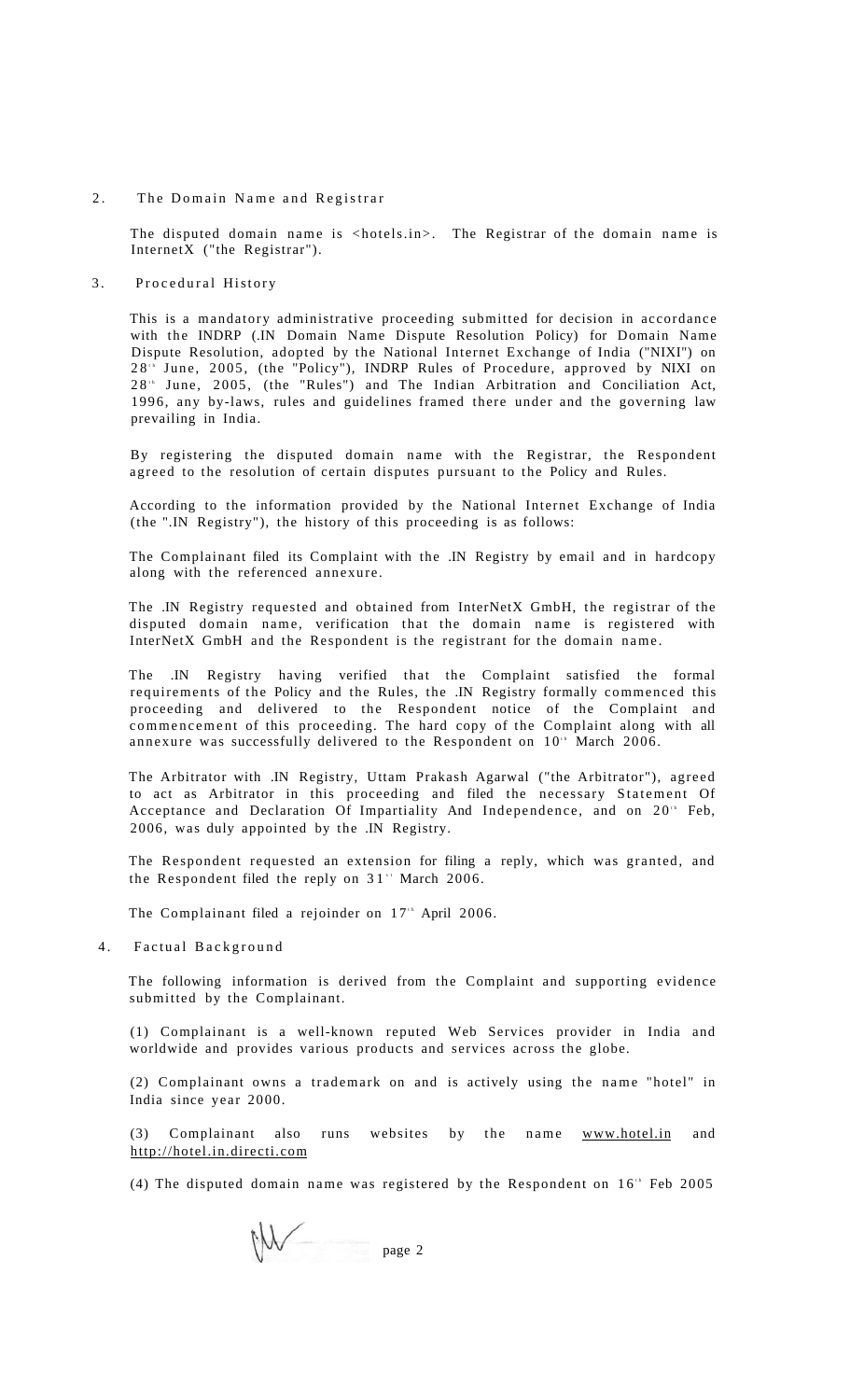### 2. The Domain Name and Registrar

The disputed domain name is <hotels.in>. The Registrar of the domain name is InternetX ("the Registrar").

#### 3. Procedural History

This is a mandatory administrative proceeding submitted for decision in accordance with the INDRP (.IN Domain Name Dispute Resolution Policy) for Domain Name Dispute Resolution, adopted by the National Internet Exchange of India ("NIXI") on 28<sup>th</sup> June, 2005, (the "Policy"), INDRP Rules of Procedure, approved by NIXI on 28<sup>t</sup> June, 2005, (the "Rules") and The Indian Arbitration and Conciliation Act, 1996, any by-laws, rules and guidelines framed there under and the governing law prevailing in India.

By registering the disputed domain name with the Registrar, the Respondent agreed to the resolution of certain disputes pursuant to the Policy and Rules.

According to the information provided by the National Internet Exchange of India (the ".IN Registry"), the history of this proceeding is as follows:

The Complainant filed its Complaint with the .IN Registry by email and in hardcopy along with the referenced annexure.

The .IN Registry requested and obtained from InterNetX GmbH, the registrar of the disputed domain name, verification that the domain name is registered with InterNetX GmbH and the Respondent is the registrant for the domain name .

The .IN Registry having verified that the Complaint satisfied the formal requirements of the Policy and the Rules, the .IN Registry formally commenced this proceeding and delivered to the Respondent notice of the Complaint and commencement of this proceeding. The hard copy of the Complaint along with all annexure was successfully delivered to the Respondent on  $10<sup>th</sup>$  March 2006.

The Arbitrator with .IN Registry, Uttam Prakash Agarwal ("the Arbitrator"), agreed to act as Arbitrator in this proceeding and filed the necessary Statement Of Acceptance and Declaration Of Impartiality And Independence, and on 20<sup>th</sup> Feb, 2006, was duly appointed by the .IN Registry.

The Respondent requested an extension for filing a reply, which was granted, and the Respondent filed the reply on  $31$ <sup>\*</sup> March 2006.

The Complainant filed a rejoinder on  $17<sup>th</sup>$  April 2006.

4. Factual Background

The following information is derived from the Complaint and supporting evidence submitted by the Complainant.

(1) Complainant is a well-known reputed Web Services provider in India and worldwide and provides various products and services across the globe.

(2) Complainant owns a trademark on and is actively using the name "hotel" in India since year 2000.

(3) Complainant also runs websites by the name [www.hotel.in a](http://www.hotel.in)nd <http://hotel.in.directi.com>

(4) The disputed domain name was registered by the Respondent on  $16<sup>th</sup>$  Feb 2005

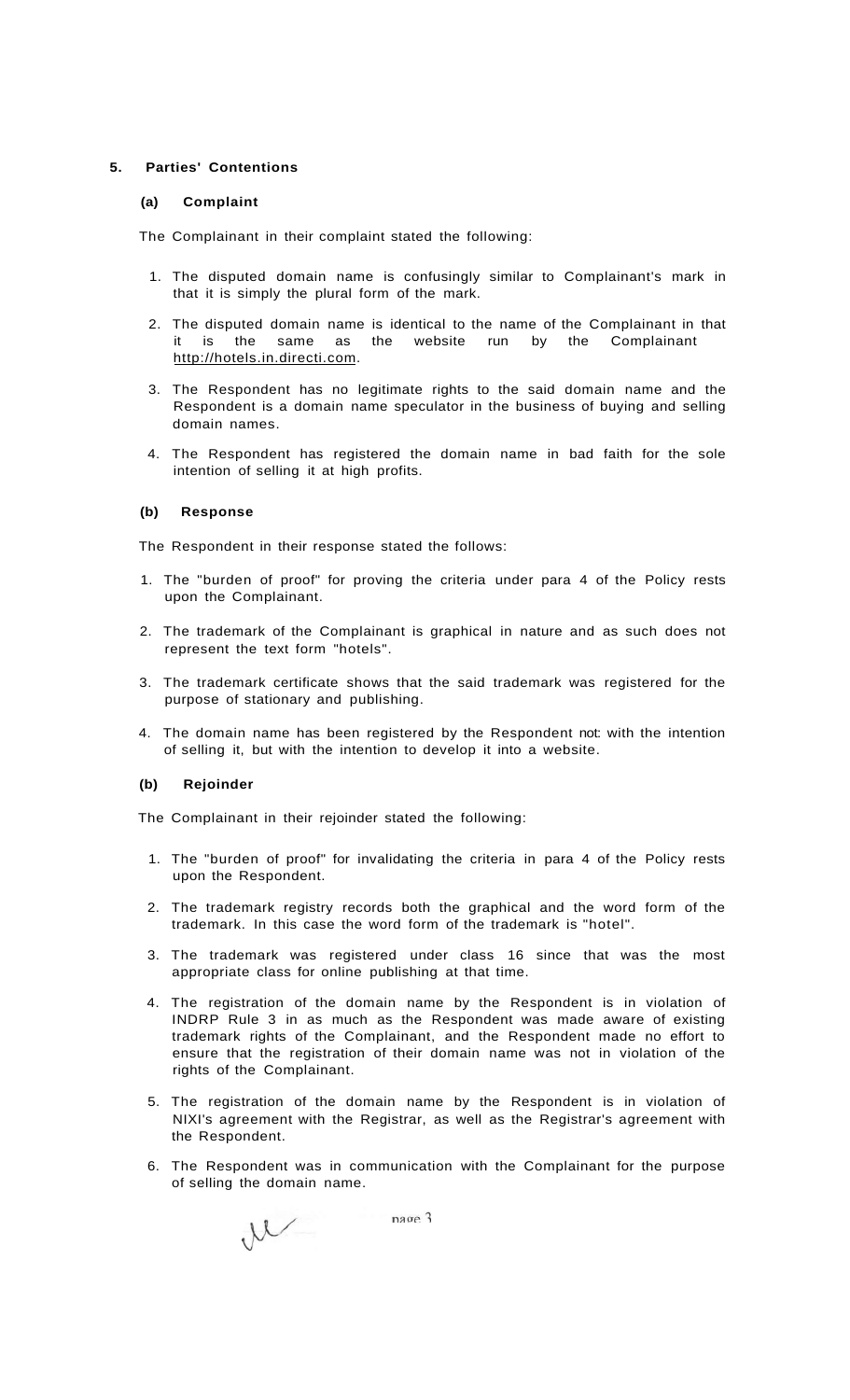### **5. Parties' Contentions**

### **(a) Complaint**

The Complainant in their complaint stated the following:

- 1. The disputed domain name is confusingly similar to Complainant's mark in that it is simply the plural form of the mark.
- 2. The disputed domain name is identical to the name of the Complainant in that it is the same as the website run by the Complainant [http://hotels.in.directi.com.](http://hotels.in.directi.com)
- 3. The Respondent has no legitimate rights to the said domain name and the Respondent is a domain name speculator in the business of buying and selling domain names.
- 4. The Respondent has registered the domain name in bad faith for the sole intention of selling it at high profits.

## **(b) Response**

The Respondent in their response stated the follows:

- 1. The "burden of proof" for proving the criteria under para 4 of the Policy rests upon the Complainant.
- 2. The trademark of the Complainant is graphical in nature and as such does not represent the text form "hotels".
- 3. The trademark certificate shows that the said trademark was registered for the purpose of stationary and publishing.
- 4. The domain name has been registered by the Respondent not: with the intention of selling it, but with the intention to develop it into a website.

### **(b) Rejoinder**

The Complainant in their rejoinder stated the following:

- 1. The "burden of proof" for invalidating the criteria in para 4 of the Policy rests upon the Respondent.
- 2. The trademark registry records both the graphical and the word form of the trademark. In this case the word form of the trademark is "hotel".
- 3. The trademark was registered under class 16 since that was the most appropriate class for online publishing at that time.
- 4. The registration of the domain name by the Respondent is in violation of INDRP Rule 3 in as much as the Respondent was made aware of existing trademark rights of the Complainant, and the Respondent made no effort to ensure that the registration of their domain name was not in violation of the rights of the Complainant.
- 5. The registration of the domain name by the Respondent is in violation of NIXI's agreement with the Registrar, as well as the Registrar's agreement with the Respondent.
- 6. The Respondent was in communication with the Complainant for the purpose of selling the domain name.

nage 3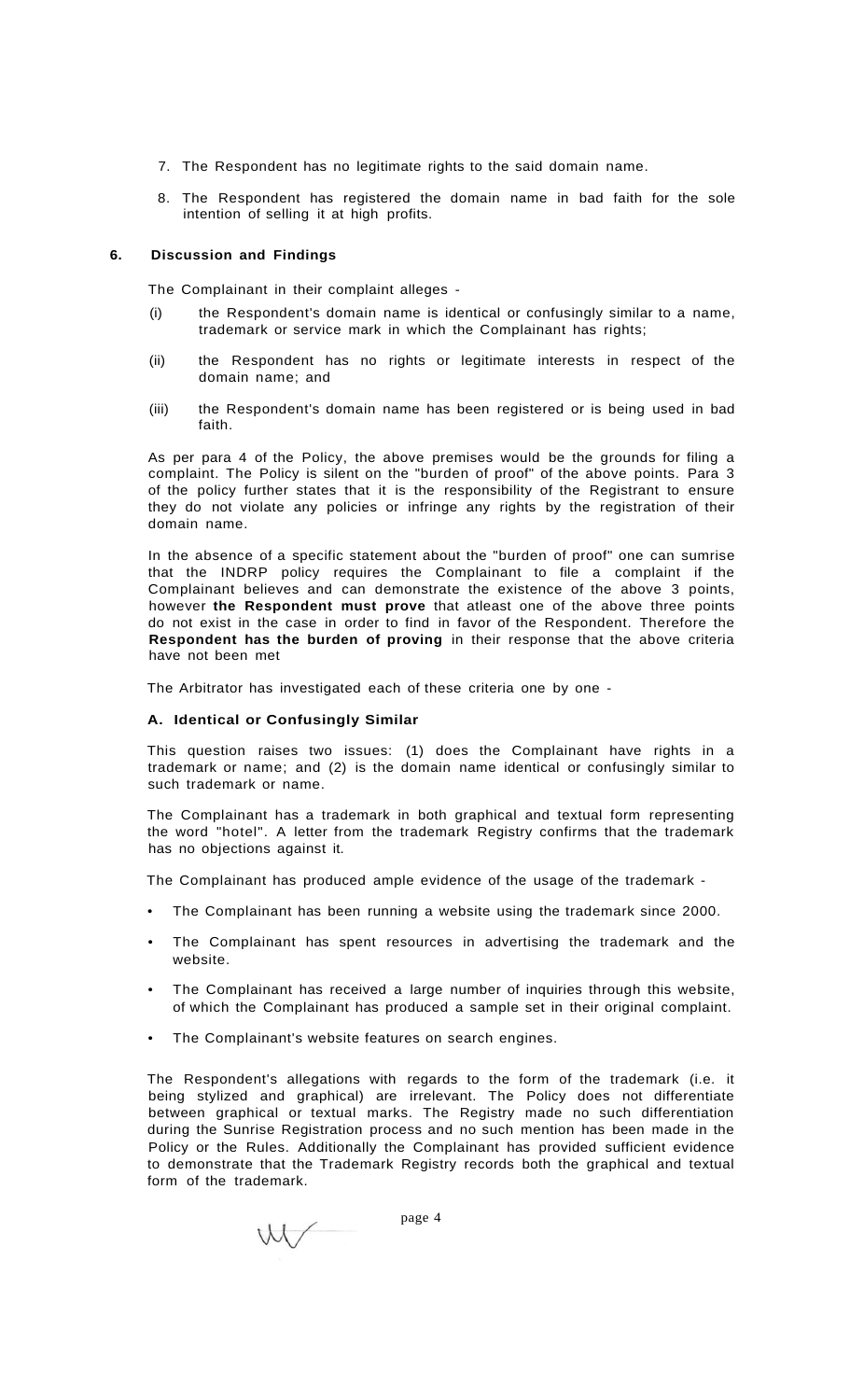- 7. The Respondent has no legitimate rights to the said domain name.
- 8. The Respondent has registered the domain name in bad faith for the sole intention of selling it at high profits.

## **6. Discussion and Findings**

The Complainant in their complaint alleges -

- (i) the Respondent's domain name is identical or confusingly similar to a name, trademark or service mark in which the Complainant has rights;
- (ii) the Respondent has no rights or legitimate interests in respect of the domain name; and
- (iii) the Respondent's domain name has been registered or is being used in bad faith.

As per para 4 of the Policy, the above premises would be the grounds for filing a complaint. The Policy is silent on the "burden of proof" of the above points. Para 3 of the policy further states that it is the responsibility of the Registrant to ensure they do not violate any policies or infringe any rights by the registration of their domain name.

In the absence of a specific statement about the "burden of proof" one can sumrise that the INDRP policy requires the Complainant to file a complaint if the Complainant believes and can demonstrate the existence of the above 3 points, however **the Respondent must prove** that atleast one of the above three points do not exist in the case in order to find in favor of the Respondent. Therefore the **Respondent has the burden of proving** in their response that the above criteria have not been met

The Arbitrator has investigated each of these criteria one by one -

### **A. Identical or Confusingly Similar**

This question raises two issues: (1) does the Complainant have rights in a trademark or name; and (2) is the domain name identical or confusingly similar to such trademark or name.

The Complainant has a trademark in both graphical and textual form representing the word "hotel". A letter from the trademark Registry confirms that the trademark has no objections against it.

The Complainant has produced ample evidence of the usage of the trademark -

- The Complainant has been running a website using the trademark since 2000.
- The Complainant has spent resources in advertising the trademark and the website.
- The Complainant has received a large number of inquiries through this website, of which the Complainant has produced a sample set in their original complaint.
- The Complainant's website features on search engines.

The Respondent's allegations with regards to the form of the trademark (i.e. it being stylized and graphical) are irrelevant. The Policy does not differentiate between graphical or textual marks. The Registry made no such differentiation during the Sunrise Registration process and no such mention has been made in the Policy or the Rules. Additionally the Complainant has provided sufficient evidence to demonstrate that the Trademark Registry records both the graphical and textual form of the trademark.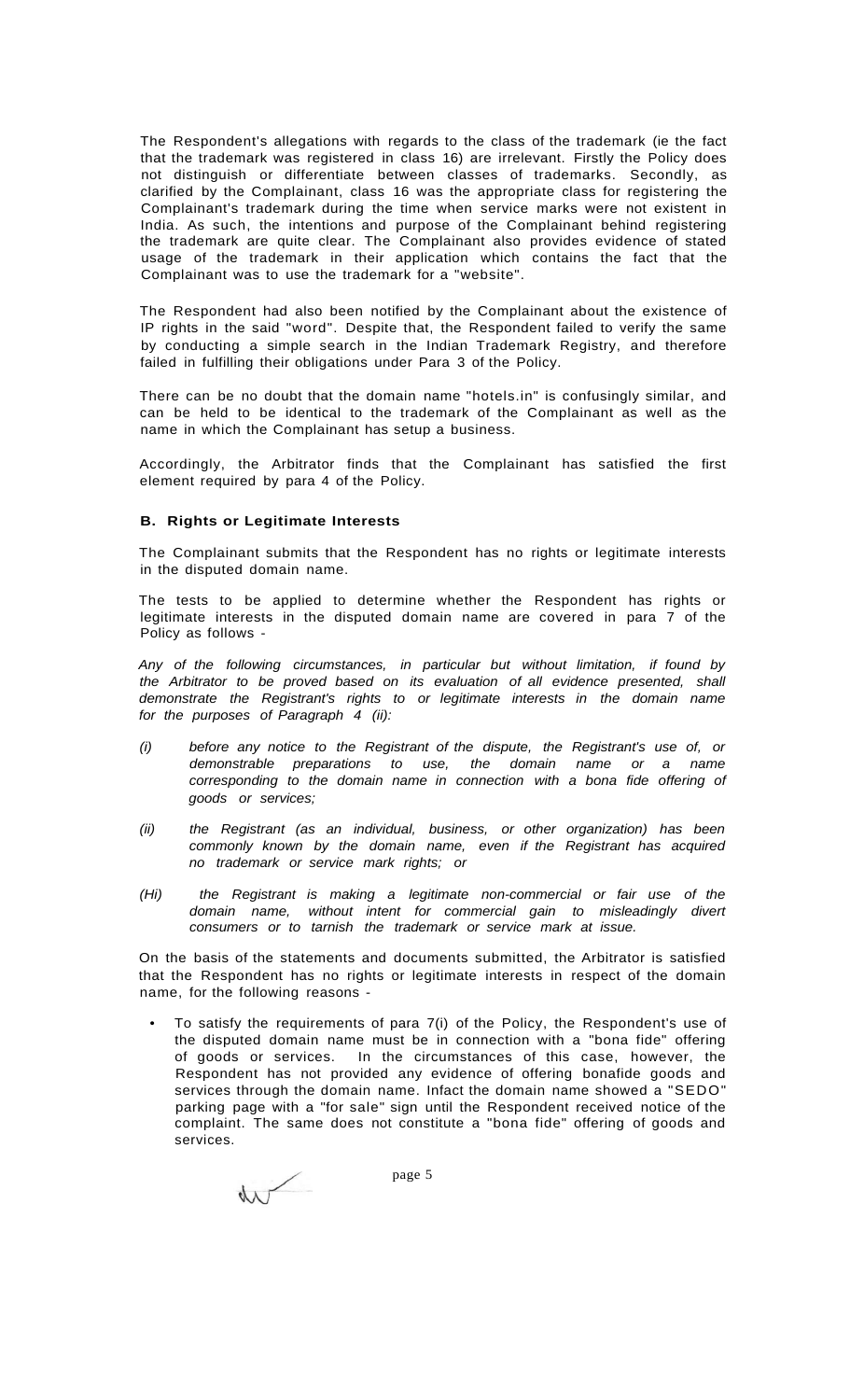The Respondent's allegations with regards to the class of the trademark (ie the fact that the trademark was registered in class 16) are irrelevant. Firstly the Policy does not distinguish or differentiate between classes of trademarks. Secondly, as clarified by the Complainant, class 16 was the appropriate class for registering the Complainant's trademark during the time when service marks were not existent in India. As such, the intentions and purpose of the Complainant behind registering the trademark are quite clear. The Complainant also provides evidence of stated usage of the trademark in their application which contains the fact that the Complainant was to use the trademark for a "website".

The Respondent had also been notified by the Complainant about the existence of IP rights in the said "word". Despite that, the Respondent failed to verify the same by conducting a simple search in the Indian Trademark Registry, and therefore failed in fulfilling their obligations under Para 3 of the Policy.

There can be no doubt that the domain name "hotels.in" is confusingly similar, and can be held to be identical to the trademark of the Complainant as well as the name in which the Complainant has setup a business.

Accordingly, the Arbitrator finds that the Complainant has satisfied the first element required by para 4 of the Policy.

#### **B. Rights or Legitimate Interests**

The Complainant submits that the Respondent has no rights or legitimate interests in the disputed domain name.

The tests to be applied to determine whether the Respondent has rights or legitimate interests in the disputed domain name are covered in para 7 of the Policy as follows -

Any of the following circumstances, in particular but without limitation, if found by the Arbitrator to be proved based on its evaluation of all evidence presented, shall demonstrate the Registrant's rights to or legitimate interests in the domain name for the purposes of Paragraph 4 (ii):

- (i) before any notice to the Registrant of the dispute, the Registrant's use of, or demonstrable preparations to use, the domain name or a name corresponding to the domain name in connection with a bona fide offering of goods or services;
- (ii) the Registrant (as an individual, business, or other organization) has been commonly known by the domain name, even if the Registrant has acquired no trademark or service mark rights; or
- (Hi) the Registrant is making a legitimate non-commercial or fair use of the domain name, without intent for commercial gain to misleadingly divert consumers or to tarnish the trademark or service mark at issue.

On the basis of the statements and documents submitted, the Arbitrator is satisfied that the Respondent has no rights or legitimate interests in respect of the domain name, for the following reasons -

• To satisfy the requirements of para 7(i) of the Policy, the Respondent's use of the disputed domain name must be in connection with a "bona fide" offering of goods or services. In the circumstances of this case, however, the Respondent has not provided any evidence of offering bonafide goods and services through the domain name. Infact the domain name showed a "SEDO" parking page with a "for sale" sign until the Respondent received notice of the complaint. The same does not constitute a "bona fide" offering of goods and services.

 $\sqrt{}$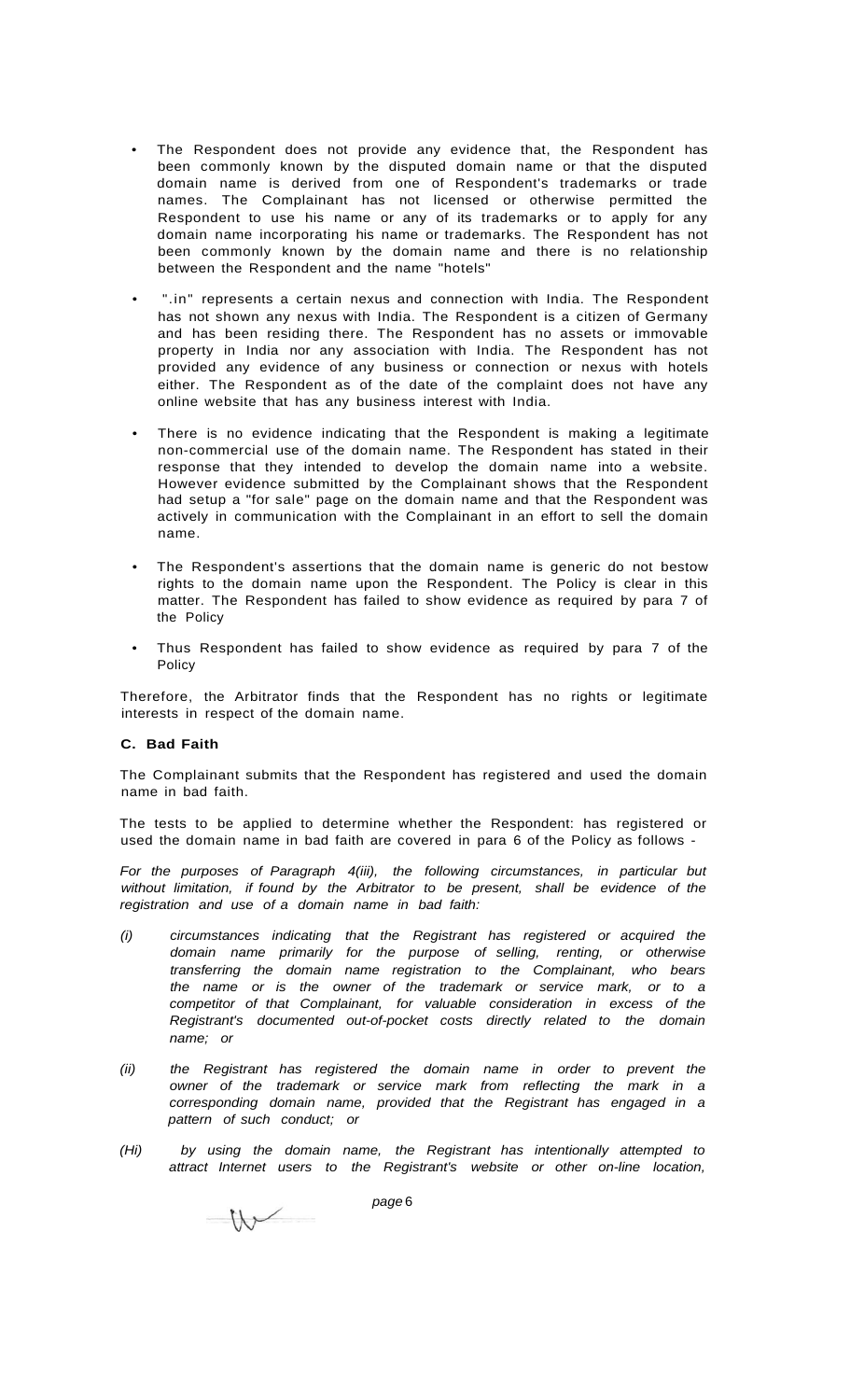- The Respondent does not provide any evidence that, the Respondent has been commonly known by the disputed domain name or that the disputed domain name is derived from one of Respondent's trademarks or trade names. The Complainant has not licensed or otherwise permitted the Respondent to use his name or any of its trademarks or to apply for any domain name incorporating his name or trademarks. The Respondent has not been commonly known by the domain name and there is no relationship between the Respondent and the name "hotels"
- ".in" represents a certain nexus and connection with India. The Respondent has not shown any nexus with India. The Respondent is a citizen of Germany and has been residing there. The Respondent has no assets or immovable property in India nor any association with India. The Respondent has not provided any evidence of any business or connection or nexus with hotels either. The Respondent as of the date of the complaint does not have any online website that has any business interest with India.
- There is no evidence indicating that the Respondent is making a legitimate non-commercial use of the domain name. The Respondent has stated in their response that they intended to develop the domain name into a website. However evidence submitted by the Complainant shows that the Respondent had setup a "for sale" page on the domain name and that the Respondent was actively in communication with the Complainant in an effort to sell the domain name.
- The Respondent's assertions that the domain name is generic do not bestow rights to the domain name upon the Respondent. The Policy is clear in this matter. The Respondent has failed to show evidence as required by para 7 of the Policy
- Thus Respondent has failed to show evidence as required by para 7 of the Policy

Therefore, the Arbitrator finds that the Respondent has no rights or legitimate interests in respect of the domain name.

### **C. Bad Faith**

The Complainant submits that the Respondent has registered and used the domain name in bad faith.

The tests to be applied to determine whether the Respondent: has registered or used the domain name in bad faith are covered in para 6 of the Policy as follows -

For the purposes of Paragraph 4(iii), the following circumstances, in particular but without limitation, if found by the Arbitrator to be present, shall be evidence of the registration and use of a domain name in bad faith:

- (i) circumstances indicating that the Registrant has registered or acquired the domain name primarily for the purpose of selling, renting, or otherwise transferring the domain name registration to the Complainant, who bears the name or is the owner of the trademark or service mark, or to a competitor of that Complainant, for valuable consideration in excess of the Registrant's documented out-of-pocket costs directly related to the domain name; or
- (ii) the Registrant has registered the domain name in order to prevent the owner of the trademark or service mark from reflecting the mark in a corresponding domain name, provided that the Registrant has engaged in a pattern of such conduct; or
- (Hi) by using the domain name, the Registrant has intentionally attempted to attract Internet users to the Registrant's website or other on-line location,

 $W$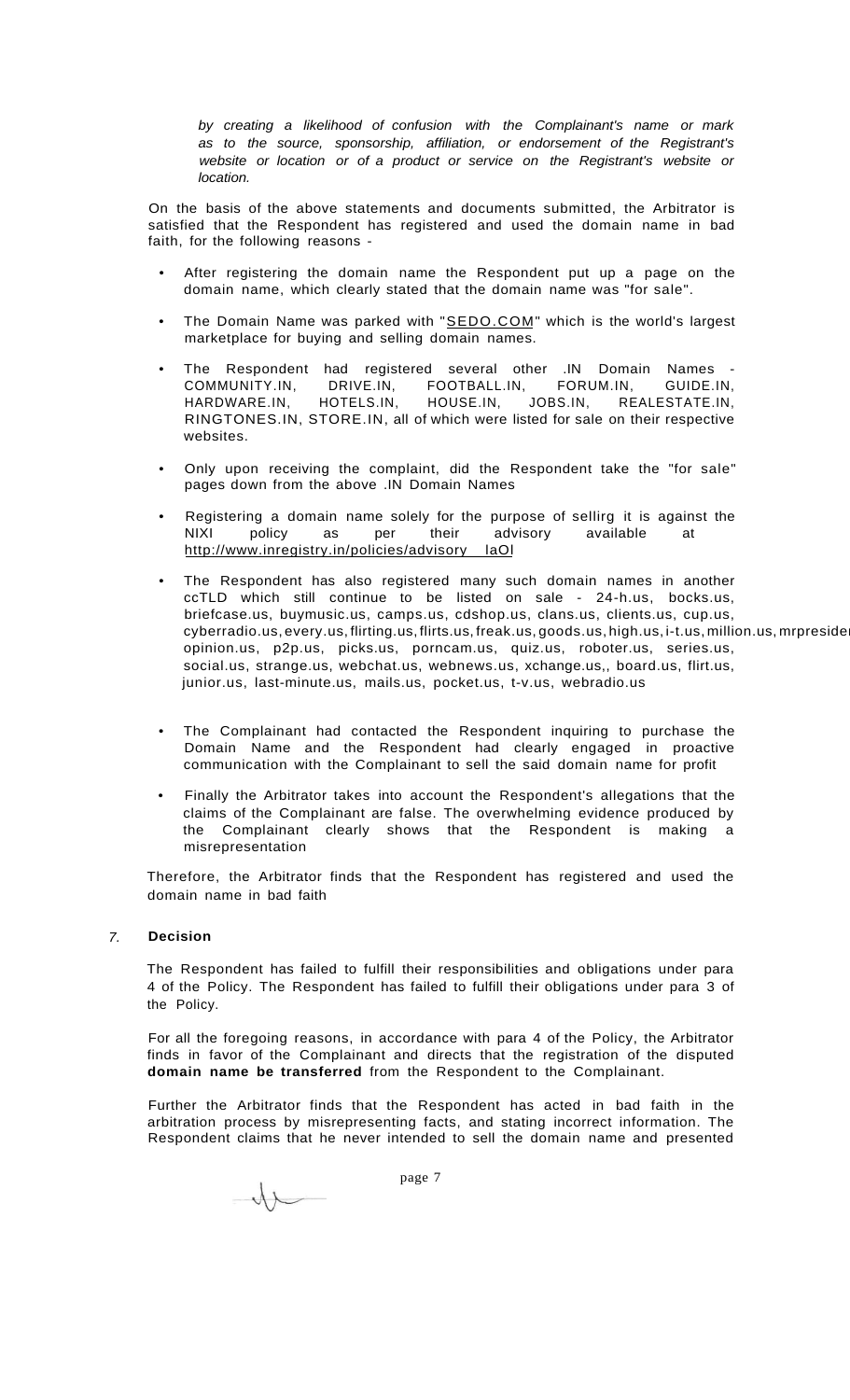by creating a likelihood of confusion with the Complainant's name or mark as to the source, sponsorship, affiliation, or endorsement of the Registrant's website or location or of a product or service on the Registrant's website or location.

On the basis of the above statements and documents submitted, the Arbitrator is satisfied that the Respondent has registered and used the domain name in bad faith, for the following reasons -

- After registering the domain name the Respondent put up a page on the domain name, which clearly stated that the domain name was "for sale".
- The Domain Name was parked with "[SEDO.COM"](http://SEDO.COM) which is the world's largest marketplace for buying and selling domain names.
- The Respondent had registered several other .IN Domain Names -<br>COMMUNITY.IN, DRIVE.IN, FOOTBALL.IN, FORUM.IN, GUIDE.IN, DRIVE.IN, FOOTBALL.IN, FORUM.IN, GUIDE.IN, HARDWARE.IN, HOTELS.IN, HOUSE.IN, JOBS.IN, REALESTATE.IN, RINGTONES.IN, STORE.IN, all of which were listed for sale on their respective websites.
- Only upon receiving the complaint, did the Respondent take the "for sale" pages down from the above .IN Domain Names
- Registering a domain name solely for the purpose of sellirg it is against the NIXI policy as per their advisory available at [http://www.inregistry.in/policies/advisory l](http://www.inregistry.in/policies/advisory)aOl
- The Respondent has also registered many such domain names in another ccTLD which still continue to be listed on sale - 24-h.us, bocks.us, briefcase.us, buymusic.us, camps.us, cdshop.us, clans.us, clients.us, cup.us, cyberradio.us, every.us, flirting.us, flirts.us, freak.us, goods.us, high.us, i-t.us, million.us, mrpreside opinion.us, p2p.us, picks.us, porncam.us, quiz.us, roboter.us, series.us, social.us, strange.us, webchat.us, webnews.us, xchange.us,, board.us, flirt.us, junior.us, last-minute.us, mails.us, pocket.us, t-v.us, webradio.us
- The Complainant had contacted the Respondent inquiring to purchase the Domain Name and the Respondent had clearly engaged in proactive communication with the Complainant to sell the said domain name for profit
- Finally the Arbitrator takes into account the Respondent's allegations that the claims of the Complainant are false. The overwhelming evidence produced by the Complainant clearly shows that the Respondent is making a misrepresentation

Therefore, the Arbitrator finds that the Respondent has registered and used the domain name in bad faith

# 7. **Decision**

The Respondent has failed to fulfill their responsibilities and obligations under para 4 of the Policy. The Respondent has failed to fulfill their obligations under para 3 of the Policy.

For all the foregoing reasons, in accordance with para 4 of the Policy, the Arbitrator finds in favor of the Complainant and directs that the registration of the disputed **domain name be transferred** from the Respondent to the Complainant.

Further the Arbitrator finds that the Respondent has acted in bad faith in the arbitration process by misrepresenting facts, and stating incorrect information. The Respondent claims that he never intended to sell the domain name and presented